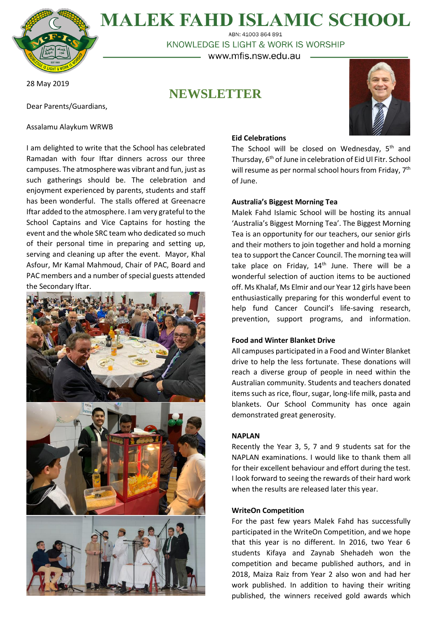

**MALEK FAHD ISLAMIC SCHOOL** ABN: 41003 864 891

KNOWLEDGE IS LIGHT & WORK IS WORSHIP

– www.mfis.nsw.edu.au –

**NEWSLETTER**

28 May 2019

Dear Parents/Guardians,

Assalamu Alaykum WRWB

I am delighted to write that the School has celebrated Ramadan with four Iftar dinners across our three campuses. The atmosphere was vibrant and fun, just as such gatherings should be. The celebration and enjoyment experienced by parents, students and staff has been wonderful. The stalls offered at Greenacre Iftar added to the atmosphere. I am very grateful to the School Captains and Vice Captains for hosting the event and the whole SRC team who dedicated so much of their personal time in preparing and setting up, serving and cleaning up after the event. Mayor, Khal Asfour, Mr Kamal Mahmoud, Chair of PAC, Board and PAC members and a number of special guests attended the Secondary Iftar.



# **Eid Celebrations**

The School will be closed on Wednesday, 5<sup>th</sup> and Thursday, 6<sup>th</sup> of June in celebration of Eid Ul Fitr. School will resume as per normal school hours from Friday, 7<sup>th</sup> of June.

# **Australia's Biggest Morning Tea**

Malek Fahd Islamic School will be hosting its annual 'Australia's Biggest Morning Tea'. The Biggest Morning Tea is an opportunity for our teachers, our senior girls and their mothers to join together and hold a morning tea to support the Cancer Council. The morning tea will take place on Friday,  $14<sup>th</sup>$  June. There will be a wonderful selection of auction items to be auctioned off. Ms Khalaf, Ms Elmir and our Year 12 girls have been enthusiastically preparing for this wonderful event to help fund Cancer Council's life-saving research, prevention, support programs, and information.

## **Food and Winter Blanket Drive**

All campuses participated in a Food and Winter Blanket drive to help the less fortunate. These donations will reach a diverse group of people in need within the Australian community. Students and teachers donated items such as rice, flour, sugar, long-life milk, pasta and blankets. Our School Community has once again demonstrated great generosity.

## **NAPLAN**

Recently the Year 3, 5, 7 and 9 students sat for the NAPLAN examinations. I would like to thank them all for their excellent behaviour and effort during the test. I look forward to seeing the rewards of their hard work when the results are released later this year.

# **WriteOn Competition**

For the past few years Malek Fahd has successfully participated in the WriteOn Competition, and we hope that this year is no different. In 2016, two Year 6 students Kifaya and Zaynab Shehadeh won the competition and became published authors, and in 2018, Maiza Raiz from Year 2 also won and had her work published. In addition to having their writing published, the winners received gold awards which